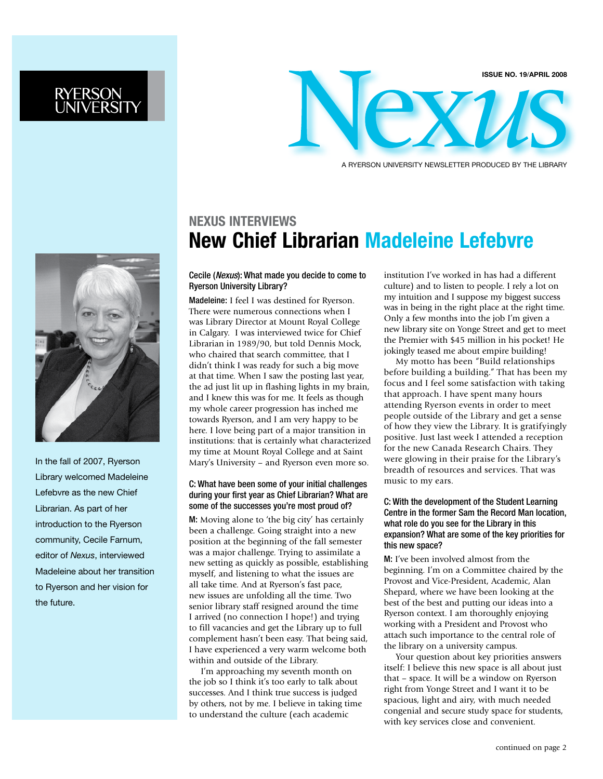

A ryerson University Newsletter Produced by the Library

# **NEXUS Interviews New Chief Librarian Madeleine Lefebvre**

#### Cecile (*Nexus*): What made you decide to come to Ryerson University Library?

Madeleine: I feel I was destined for Ryerson. There were numerous connections when I was Library Director at Mount Royal College in Calgary. I was interviewed twice for Chief Librarian in 1989/90, but told Dennis Mock, who chaired that search committee, that I didn't think I was ready for such a big move at that time. When I saw the posting last year, the ad just lit up in flashing lights in my brain, and I knew this was for me. It feels as though my whole career progression has inched me towards Ryerson, and I am very happy to be here. I love being part of a major transition in institutions: that is certainly what characterized my time at Mount Royal College and at Saint Mary's University – and Ryerson even more so.

#### C: What have been some of your initial challenges during your first year as Chief Librarian? What are some of the successes you're most proud of?

M: Moving alone to 'the big city' has certainly been a challenge. Going straight into a new position at the beginning of the fall semester was a major challenge. Trying to assimilate a new setting as quickly as possible, establishing myself, and listening to what the issues are all take time. And at Ryerson's fast pace, new issues are unfolding all the time. Two senior library staff resigned around the time I arrived (no connection I hope!) and trying to fill vacancies and get the Library up to full complement hasn't been easy. That being said, I have experienced a very warm welcome both within and outside of the Library.

 I'm approaching my seventh month on the job so I think it's too early to talk about successes. And I think true success is judged by others, not by me. I believe in taking time to understand the culture (each academic

institution I've worked in has had a different culture) and to listen to people. I rely a lot on my intuition and I suppose my biggest success was in being in the right place at the right time. Only a few months into the job I'm given a new library site on Yonge Street and get to meet the Premier with \$45 million in his pocket! He jokingly teased me about empire building!

My motto has been "Build relationships before building a building." That has been my focus and I feel some satisfaction with taking that approach. I have spent many hours attending Ryerson events in order to meet people outside of the Library and get a sense of how they view the Library. It is gratifyingly positive. Just last week I attended a reception for the new Canada Research Chairs. They were glowing in their praise for the Library's breadth of resources and services. That was music to my ears.

#### C: With the development of the Student Learning Centre in the former Sam the Record Man location, what role do you see for the Library in this expansion? What are some of the key priorities for this new space?

M: I've been involved almost from the beginning. I'm on a Committee chaired by the Provost and Vice-President, Academic, Alan Shepard, where we have been looking at the best of the best and putting our ideas into a Ryerson context. I am thoroughly enjoying working with a President and Provost who attach such importance to the central role of the library on a university campus.

 Your question about key priorities answers itself: I believe this new space is all about just that – space. It will be a window on Ryerson right from Yonge Street and I want it to be spacious, light and airy, with much needed congenial and secure study space for students, with key services close and convenient.



In the fall of 2007, Ryerson Library welcomed Madeleine Lefebvre as the new Chief Librarian. As part of her introduction to the Ryerson community, Cecile Farnum, editor of *Nexus*, interviewed Madeleine about her transition to Ryerson and her vision for the future.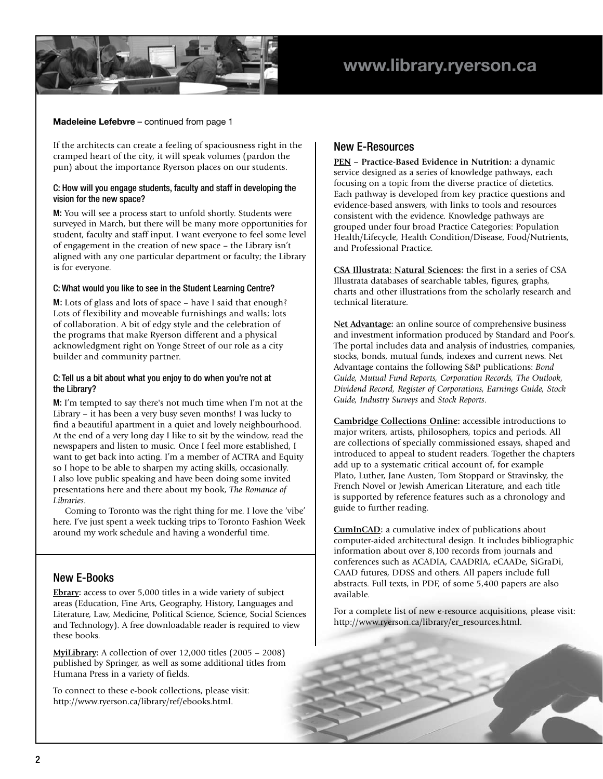

#### **Madeleine Lefebvre** – continued from page 1

If the architects can create a feeling of spaciousness right in the cramped heart of the city, it will speak volumes (pardon the pun) about the importance Ryerson places on our students.

#### C: How will you engage students, faculty and staff in developing the vision for the new space?

M: You will see a process start to unfold shortly. Students were surveyed in March, but there will be many more opportunities for student, faculty and staff input. I want everyone to feel some level of engagement in the creation of new space – the Library isn't aligned with any one particular department or faculty; the Library is for everyone.

#### C: What would you like to see in the Student Learning Centre?

M: Lots of glass and lots of space – have I said that enough? Lots of flexibility and moveable furnishings and walls; lots of collaboration. A bit of edgy style and the celebration of the programs that make Ryerson different and a physical acknowledgment right on Yonge Street of our role as a city builder and community partner.

#### C: Tell us a bit about what you enjoy to do when you're not at the Library?

M: I'm tempted to say there's not much time when I'm not at the Library – it has been a very busy seven months! I was lucky to find a beautiful apartment in a quiet and lovely neighbourhood. At the end of a very long day I like to sit by the window, read the newspapers and listen to music. Once I feel more established, I want to get back into acting. I'm a member of ACTRA and Equity so I hope to be able to sharpen my acting skills, occasionally. I also love public speaking and have been doing some invited presentations here and there about my book, *The Romance of Libraries*.

Coming to Toronto was the right thing for me. I love the 'vibe' here. I've just spent a week tucking trips to Toronto Fashion Week around my work schedule and having a wonderful time.

#### New E-Books

**[Ebrary](http://ezproxy.lib.ryerson.ca/login?url=http://site.ebrary.com/lib/oculryerson):** access to over 5,000 titles in a wide variety of subject areas (Education, Fine Arts, Geography, History, Languages and Literature, Law, Medicine, Political Science, Science, Social Sciences and Technology). A free downloadable reader is required to view these books.

**[MyiLibrary:](http://ezproxy.lib.ryerson.ca/login?url=http://www.myilibrary.com/search/my_content.asp)** A collection of over 12,000 titles (2005 – 2008) published by Springer, as well as some additional titles from Humana Press in a variety of fields.

To connect to these e-book collections, please visit: http://www.ryerson.ca/library/ref/ebooks.html.

#### New E-Resources

**[PEN](http://ezproxy.lib.ryerson.ca/login?url=http://www.dieteticsatwork.com/pen/) – Practice-Based Evidence in Nutrition:** a dynamic service designed as a series of knowledge pathways, each focusing on a topic from the diverse practice of dietetics. Each pathway is developed from key practice questions and evidence-based answers, with links to tools and resources consistent with the evidence. Knowledge pathways are grouped under four broad Practice Categories: Population Health/Lifecycle, Health Condition/Disease, Food/Nutrients, and Professional Practice.

**[CSA Illustrata: Natural Sciences](http://ezproxy.lib.ryerson.ca/login?url=http://www.csa.com/htbin/dbrng.cgi?username=ryep&access=ryep130&db=objects-nats-set-c):** the first in a series of CSA Illustrata databases of searchable tables, figures, graphs, charts and other illustrations from the scholarly research and technical literature.

**[Net Advantage](http://ezproxy.lib.ryerson.ca/login?url=http://www.netadvantage.standardandpoors.com/):** an online source of comprehensive business and investment information produced by Standard and Poor's. The portal includes data and analysis of industries, companies, stocks, bonds, mutual funds, indexes and current news. Net Advantage contains the following S&P publications: *Bond Guide, Mutual Fund Reports, Corporation Records, The Outlook, Dividend Record, Register of Corporations, Earnings Guide, Stock Guide, Industry Surveys* and *Stock Reports*.

**[Cambridge Collections](http://ezproxy.lib.ryerson.ca/login?url=http://cco.cambridge.org/) Online:** accessible introductions to major writers, artists, philosophers, topics and periods. All are collections of specially commissioned essays, shaped and introduced to appeal to student readers. Together the chapters add up to a systematic critical account of, for example Plato, Luther, Jane Austen, Tom Stoppard or Stravinsky, the French Novel or Jewish American Literature, and each title is supported by reference features such as a chronology and guide to further reading.

**[CumInCAD:](http://ezproxy.lib.ryerson.ca/login?url=http://cumincad.scix.net/)** a cumulative index of publications about computer-aided architectural design. It includes bibliographic information about over 8,100 records from journals and conferences such as ACADIA, CAADRIA, eCAADe, SiGraDi, CAAD futures, DDSS and others. All papers include full abstracts. Full texts, in PDF, of some 5,400 papers are also available.

For a complete list of new e-resource acquisitions, please visit: http://www.ryerson.ca/library/er\_resources.html.

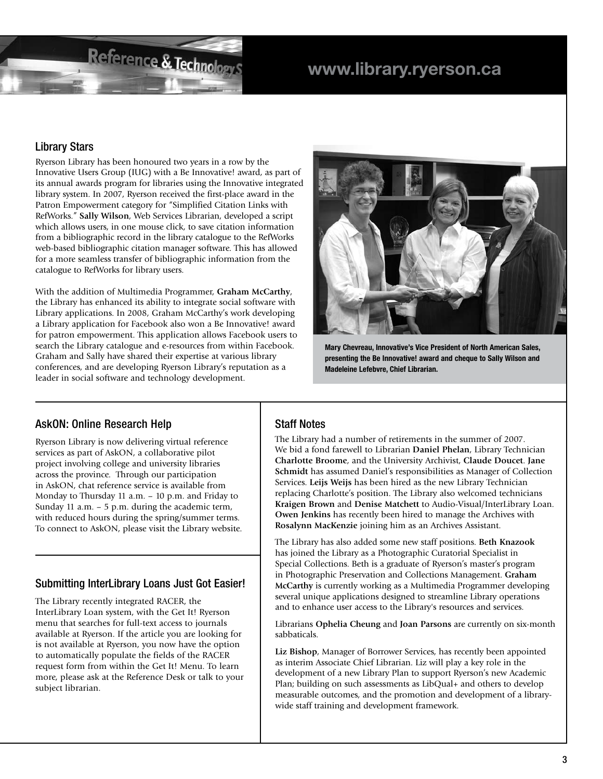# **www.library.ryerson.ca**

#### Library Stars

Ryerson Library has been honoured two years in a row by the Innovative Users Group (IUG) with a Be Innovative! award, as part of its annual awards program for libraries using the Innovative integrated library system. In 2007, Ryerson received the first-place award in the Patron Empowerment category for "Simplified Citation Links with RefWorks." **Sally Wilson**, Web Services Librarian, developed a script which allows users, in one mouse click, to save citation information from a bibliographic record in the library catalogue to the RefWorks web-based bibliographic citation manager software. This has allowed for a more seamless transfer of bibliographic information from the catalogue to RefWorks for library users.

Reference & Technologys

With the addition of Multimedia Programmer, **Graham McCarthy**, the Library has enhanced its ability to integrate social software with Library applications. In 2008, Graham McCarthy's work developing a Library application for Facebook also won a Be Innovative! award for patron empowerment. This application allows Facebook users to search the Library catalogue and e-resources from within Facebook. Graham and Sally have shared their expertise at various library conferences, and are developing Ryerson Library's reputation as a leader in social software and technology development.



**Mary Chevreau, Innovative's Vice President of North American Sales, presenting the Be Innovative! award and cheque to Sally Wilson and Madeleine Lefebvre, Chief Librarian.**

#### AskON: Online Research Help

Ryerson Library is now delivering virtual reference services as part of AskON, a collaborative pilot project involving college and university libraries across the province. Through our participation in AskON, chat reference service is available from Monday to Thursday 11 a.m. – 10 p.m. and Friday to Sunday 11 a.m. – 5 p.m. during the academic term, with reduced hours during the spring/summer terms. To connect to AskON, please visit the Library website.

#### Submitting InterLibrary Loans Just Got Easier!

The Library recently integrated RACER, the InterLibrary Loan system, with the Get It! Ryerson menu that searches for full-text access to journals available at Ryerson. If the article you are looking for is not available at Ryerson, you now have the option to automatically populate the fields of the RACER request form from within the Get It! Menu. To learn more, please ask at the Reference Desk or talk to your subject librarian.

#### Staff Notes

The Library had a number of retirements in the summer of 2007. We bid a fond farewell to Librarian **Daniel Phelan**, Library Technician **Charlotte Broome**, and the University Archivist, **Claude Doucet**. **Jane Schmidt** has assumed Daniel's responsibilities as Manager of Collection Services. **Leijs Weijs** has been hired as the new Library Technician replacing Charlotte's position. The Library also welcomed technicians **Kraigen Brown** and **Denise Matchett** to Audio-Visual/InterLibrary Loan. **Owen Jenkins** has recently been hired to manage the Archives with **Rosalynn MacKenzie** joining him as an Archives Assistant.

The Library has also added some new staff positions. **Beth Knazook** has joined the Library as a Photographic Curatorial Specialist in Special Collections. Beth is a graduate of Ryerson's master's program in Photographic Preservation and Collections Management. **Graham McCarthy** is currently working as a Multimedia Programmer developing several unique applications designed to streamline Library operations and to enhance user access to the Library's resources and services.

Librarians **Ophelia Cheung** and **Joan Parsons** are currently on six-month sabbaticals.

**Liz Bishop**, Manager of Borrower Services, has recently been appointed as interim Associate Chief Librarian. Liz will play a key role in the development of a new Library Plan to support Ryerson's new Academic Plan; building on such assessments as LibQual+ and others to develop measurable outcomes, and the promotion and development of a librarywide staff training and development framework.